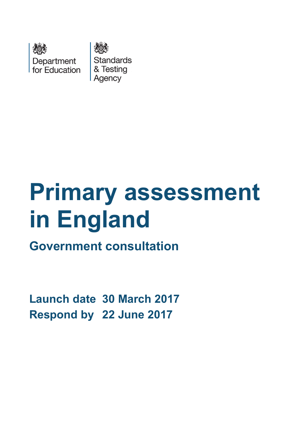

**Standards** & Testing Agency

# **Primary assessment in England**

**Government consultation**

<span id="page-0-0"></span>**Launch date 30 March 2017 Respond by 22 June 2017**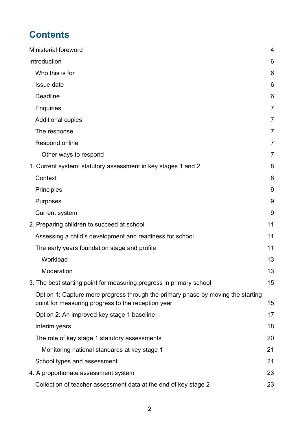# **Contents**

| Ministerial foreword                                                                                                                   | 4              |
|----------------------------------------------------------------------------------------------------------------------------------------|----------------|
| Introduction                                                                                                                           | 6              |
| Who this is for                                                                                                                        | 6              |
| Issue date                                                                                                                             | 6              |
| <b>Deadline</b>                                                                                                                        | 6              |
| <b>Enquiries</b>                                                                                                                       | 7              |
| <b>Additional copies</b>                                                                                                               | $\overline{7}$ |
| The response                                                                                                                           | 7              |
| Respond online                                                                                                                         | 7              |
| Other ways to respond                                                                                                                  | 7              |
| 1. Current system: statutory assessment in key stages 1 and 2                                                                          | 8              |
| Context                                                                                                                                | 8              |
| <b>Principles</b>                                                                                                                      | 9              |
| Purposes                                                                                                                               | 9              |
| <b>Current system</b>                                                                                                                  | 9              |
| 2. Preparing children to succeed at school                                                                                             | 11             |
| Assessing a child's development and readiness for school                                                                               | 11             |
| The early years foundation stage and profile                                                                                           | 11             |
| Workload                                                                                                                               | 13             |
| Moderation                                                                                                                             | 13             |
| 3. The best starting point for measuring progress in primary school                                                                    | 15             |
| Option 1: Capture more progress through the primary phase by moving the starting<br>point for measuring progress to the reception year | 15             |
| Option 2: An improved key stage 1 baseline                                                                                             | 17             |
| Interim years                                                                                                                          | 18             |
| The role of key stage 1 statutory assessments                                                                                          | 20             |
| Monitoring national standards at key stage 1                                                                                           | 21             |
| School types and assessment                                                                                                            | 21             |
| 4. A proportionate assessment system                                                                                                   | 23             |
| Collection of teacher assessment data at the end of key stage 2                                                                        | 23             |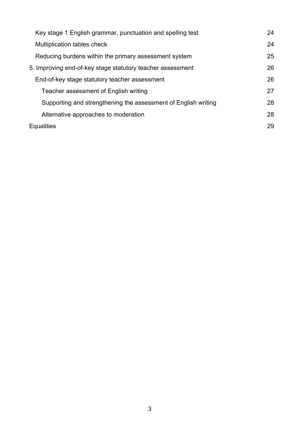| Key stage 1 English grammar, punctuation and spelling test     | 24 |  |
|----------------------------------------------------------------|----|--|
| Multiplication tables check                                    | 24 |  |
| Reducing burdens within the primary assessment system          | 25 |  |
| 5. Improving end-of-key stage statutory teacher assessment     |    |  |
| End-of-key stage statutory teacher assessment                  | 26 |  |
| Teacher assessment of English writing                          | 27 |  |
| Supporting and strengthening the assessment of English writing | 28 |  |
| Alternative approaches to moderation                           | 28 |  |
| <b>Equalities</b>                                              | 29 |  |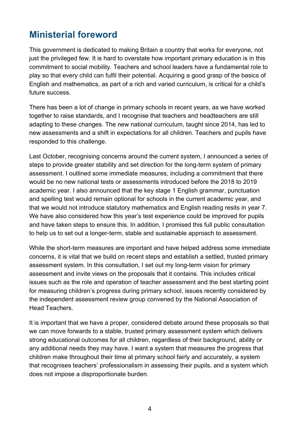# <span id="page-3-0"></span>**Ministerial foreword**

This government is dedicated to making Britain a country that works for everyone, not just the privileged few. It is hard to overstate how important primary education is in this commitment to social mobility. Teachers and school leaders have a fundamental role to play so that every child can fulfil their potential. Acquiring a good grasp of the basics of English and mathematics, as part of a rich and varied curriculum, is critical for a child's future success.

There has been a lot of change in primary schools in recent years, as we have worked together to raise standards, and I recognise that teachers and headteachers are still adapting to these changes. The new national curriculum, taught since 2014, has led to new assessments and a shift in expectations for all children. Teachers and pupils have responded to this challenge.

Last October, recognising concerns around the current system, I announced a series of steps to provide greater stability and set direction for the long-term system of primary assessment. I outlined some immediate measures, including a commitment that there would be no new national tests or assessments introduced before the 2018 to 2019 academic year. I also announced that the key stage 1 English grammar, punctuation and spelling test would remain optional for schools in the current academic year, and that we would not introduce statutory mathematics and English reading resits in year 7. We have also considered how this year's test experience could be improved for pupils and have taken steps to ensure this. In addition, I promised this full public consultation to help us to set out a longer-term, stable and sustainable approach to assessment.

While the short-term measures are important and have helped address some immediate concerns, it is vital that we build on recent steps and establish a settled, trusted primary assessment system. In this consultation, I set out my long-term vision for primary assessment and invite views on the proposals that it contains. This includes critical issues such as the role and operation of teacher assessment and the best starting point for measuring children's progress during primary school, issues recently considered by the independent assessment review group convened by the National Association of Head Teachers.

It is important that we have a proper, considered debate around these proposals so that we can move forwards to a stable, trusted primary assessment system which delivers strong educational outcomes for all children, regardless of their background, ability or any additional needs they may have. I want a system that measures the progress that children make throughout their time at primary school fairly and accurately, a system that recognises teachers' professionalism in assessing their pupils, and a system which does not impose a disproportionate burden.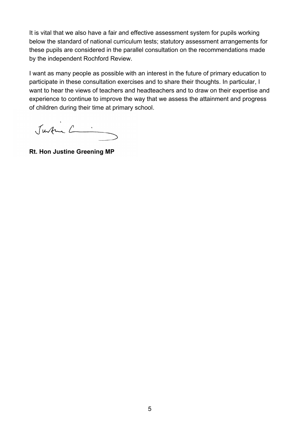It is vital that we also have a fair and effective assessment system for pupils working below the standard of national curriculum tests; statutory assessment arrangements for these pupils are considered in the parallel consultation on the recommendations made by the independent Rochford Review.

I want as many people as possible with an interest in the future of primary education to participate in these consultation exercises and to share their thoughts. In particular, I want to hear the views of teachers and headteachers and to draw on their expertise and experience to continue to improve the way that we assess the attainment and progress of children during their time at primary school.

Justin L

**Rt. Hon Justine Greening MP**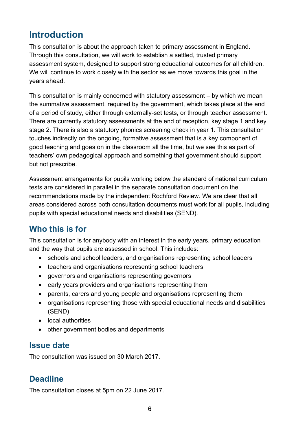# <span id="page-5-0"></span>**Introduction**

This consultation is about the approach taken to primary assessment in England. Through this consultation, we will work to establish a settled, trusted primary assessment system, designed to support strong educational outcomes for all children. We will continue to work closely with the sector as we move towards this goal in the years ahead.

This consultation is mainly concerned with statutory assessment – by which we mean the summative assessment, required by the government, which takes place at the end of a period of study, either through externally-set tests, or through teacher assessment. There are currently statutory assessments at the end of reception, key stage 1 and key stage 2. There is also a statutory phonics screening check in year 1. This consultation touches indirectly on the ongoing, formative assessment that is a key component of good teaching and goes on in the classroom all the time, but we see this as part of teachers' own pedagogical approach and something that government should support but not prescribe.

Assessment arrangements for pupils working below the standard of national curriculum tests are considered in parallel in the separate consultation document on the recommendations made by the independent Rochford Review. We are clear that all areas considered across both consultation documents must work for all pupils, including pupils with special educational needs and disabilities (SEND).

## <span id="page-5-1"></span>**Who this is for**

This consultation is for anybody with an interest in the early years, primary education and the way that pupils are assessed in school. This includes:

- schools and school leaders, and organisations representing school leaders
- teachers and organisations representing school teachers
- governors and organisations representing governors
- early years providers and organisations representing them
- parents, carers and young people and organisations representing them
- organisations representing those with special educational needs and disabilities (SEND)
- local authorities
- other government bodies and departments

## <span id="page-5-2"></span>**Issue date**

The consultation was issued on 30 March 2017.

## <span id="page-5-3"></span>**Deadline**

The consultation closes at 5pm on 22 June 2017.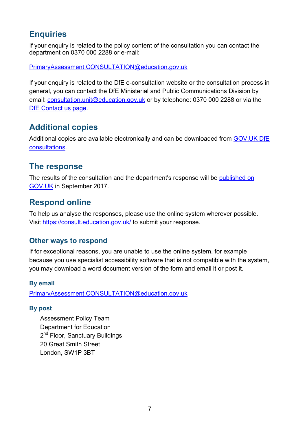## <span id="page-6-0"></span>**Enquiries**

If your enquiry is related to the policy content of the consultation you can contact the department on 0370 000 2288 or e-mail:

[PrimaryAssessment.CONSULTATION@education.gov.uk](mailto:PrimaryAssessment.CONSULTATION@education.gov.uk)

If your enquiry is related to the DfE e-consultation website or the consultation process in general, you can contact the DfE Ministerial and Public Communications Division by email: [consultation.unit@education.gov.uk](mailto:consultation.unit@education.gov.uk) or by telephone: 0370 000 2288 or via the [DfE Contact us page.](https://www.education.gov.uk/help/contactus)

## <span id="page-6-1"></span>**Additional copies**

Additional copies are available electronically and can be downloaded from [GOV.UK DfE](https://www.gov.uk/government/publications?keywords=&publication_filter_option=consultations&topics%5B%5D=all&departments%5B%5D=department-for-education&official_document_status=all&world_locations%5B%5D=all&from_date=&to_date=&commit=Refresh+results)  [consultations.](https://www.gov.uk/government/publications?keywords=&publication_filter_option=consultations&topics%5B%5D=all&departments%5B%5D=department-for-education&official_document_status=all&world_locations%5B%5D=all&from_date=&to_date=&commit=Refresh+results)

## <span id="page-6-2"></span>**The response**

The results of the consultation and the department's response will be [published on](https://www.gov.uk/government/publications?departments%5B%5D=department-for-education&publication_filter_option=consultations)  [GOV.UK](https://www.gov.uk/government/publications?departments%5B%5D=department-for-education&publication_filter_option=consultations) in September 2017.

## <span id="page-6-3"></span>**Respond online**

To help us analyse the responses, please use the online system wherever possible. Visit<https://consult.education.gov.uk/> to submit your response.

#### <span id="page-6-4"></span>**Other ways to respond**

If for exceptional reasons, you are unable to use the online system, for example because you use specialist accessibility software that is not compatible with the system, you may download a word document version of the form and email it or post it.

#### **By email**

[PrimaryAssessment.CONSULTATION@education.gov.uk](mailto:PrimaryAssessment.CONSULTATION@education.gov.uk)

#### **By post**

Assessment Policy Team Department for Education 2<sup>nd</sup> Floor, Sanctuary Buildings 20 Great Smith Street London, SW1P 3BT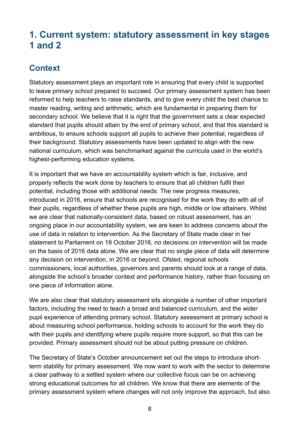# <span id="page-7-0"></span>**1. Current system: statutory assessment in key stages 1 and 2**

## <span id="page-7-1"></span>**Context**

Statutory assessment plays an important role in ensuring that every child is supported to leave primary school prepared to succeed. Our primary assessment system has been reformed to help teachers to raise standards, and to give every child the best chance to master reading, writing and arithmetic, which are fundamental in preparing them for secondary school. We believe that it is right that the government sets a clear expected standard that pupils should attain by the end of primary school, and that this standard is ambitious, to ensure schools support all pupils to achieve their potential, regardless of their background. Statutory assessments have been updated to align with the new national curriculum, which was benchmarked against the curricula used in the world's highest-performing education systems.

It is important that we have an accountability system which is fair, inclusive, and properly reflects the work done by teachers to ensure that all children fulfil their potential, including those with additional needs. The new progress measures, introduced in 2016, ensure that schools are recognised for the work they do with all of their pupils, regardless of whether these pupils are high, middle or low attainers. Whilst we are clear that nationally-consistent data, based on robust assessment, has an ongoing place in our accountability system, we are keen to address concerns about the use of data in relation to intervention. As the Secretary of State made clear in her statement to Parliament on 19 October 2016, no decisions on intervention will be made on the basis of 2016 data alone. We are clear that no single piece of data will determine any decision on intervention, in 2016 or beyond. Ofsted, regional schools commissioners, local authorities, governors and parents should look at a range of data, alongside the school's broader context and performance history, rather than focusing on one piece of information alone.

We are also clear that statutory assessment sits alongside a number of other important factors, including the need to teach a broad and balanced curriculum, and the wider pupil experience of attending primary school. Statutory assessment at primary school is about measuring school performance, holding schools to account for the work they do with their pupils and identifying where pupils require more support, so that this can be provided. Primary assessment should not be about putting pressure on children.

The Secretary of State's October announcement set out the steps to introduce shortterm stability for primary assessment. We now want to work with the sector to determine a clear pathway to a settled system where our collective focus can be on achieving strong educational outcomes for all children. We know that there are elements of the primary assessment system where changes will not only improve the approach, but also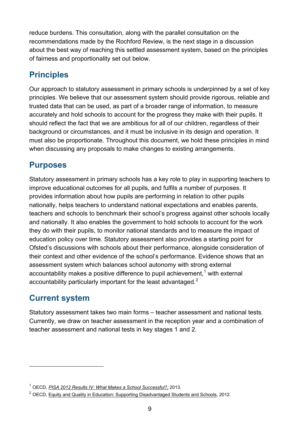reduce burdens. This consultation, along with the parallel consultation on the recommendations made by the Rochford Review, is the next stage in a discussion about the best way of reaching this settled assessment system, based on the principles of fairness and proportionality set out below.

## <span id="page-8-0"></span>**Principles**

Our approach to statutory assessment in primary schools is underpinned by a set of key principles. We believe that our assessment system should provide rigorous, reliable and trusted data that can be used, as part of a broader range of information, to measure accurately and hold schools to account for the progress they make with their pupils. It should reflect the fact that we are ambitious for all of our children, regardless of their background or circumstances, and it must be inclusive in its design and operation. It must also be proportionate. Throughout this document, we hold these principles in mind when discussing any proposals to make changes to existing arrangements.

## <span id="page-8-1"></span>**Purposes**

Statutory assessment in primary schools has a key role to play in supporting teachers to improve educational outcomes for all pupils, and fulfils a number of purposes. It provides information about how pupils are performing in relation to other pupils nationally, helps teachers to understand national expectations and enables parents, teachers and schools to benchmark their school's progress against other schools locally and nationally. It also enables the government to hold schools to account for the work they do with their pupils, to monitor national standards and to measure the impact of education policy over time. Statutory assessment also provides a starting point for Ofsted's discussions with schools about their performance, alongside consideration of their context and other evidence of the school's performance. Evidence shows that an assessment system which balances school autonomy with strong external accountability makes a positive difference to pupil achievement,<sup>[1](#page-0-0)</sup> with external accountability particularly important for the least advantaged.<sup>[2](#page-8-3)</sup>

## <span id="page-8-2"></span>**Current system**

<span id="page-8-4"></span> $\overline{a}$ 

Statutory assessment takes two main forms – teacher assessment and national tests. Currently, we draw on teacher assessment in the reception year and a combination of teacher assessment and national tests in key stages 1 and 2.

<sup>1</sup> OECD, *[PISA 2012 Results IV: What Makes a School Successful?,](https://www.oecd.org/pisa/keyfindings/pisa-2012-results-volume-IV.pdf)* 2013.

<span id="page-8-3"></span> $2$  OECD, [Equity and Quality in Education: Supporting Disadvantaged Students and Schools,](https://www.oecd.org/education/school/50293148.pdf) 2012.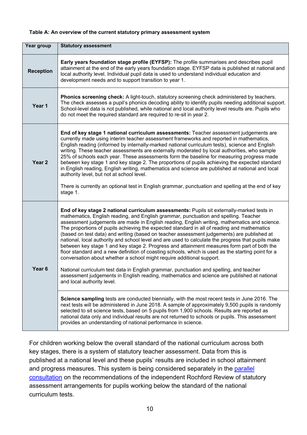#### **Table A: An overview of the current statutory primary assessment system**

| Year group        | <b>Statutory assessment</b>                                                                                                                                                                                                                                                                                                                                                                                                                                                                                                                                                                                                                                                                                                                                                                                                                                                                                                                                                                                                                                                                                                                                                                                                                                                                                                                                                                     |
|-------------------|-------------------------------------------------------------------------------------------------------------------------------------------------------------------------------------------------------------------------------------------------------------------------------------------------------------------------------------------------------------------------------------------------------------------------------------------------------------------------------------------------------------------------------------------------------------------------------------------------------------------------------------------------------------------------------------------------------------------------------------------------------------------------------------------------------------------------------------------------------------------------------------------------------------------------------------------------------------------------------------------------------------------------------------------------------------------------------------------------------------------------------------------------------------------------------------------------------------------------------------------------------------------------------------------------------------------------------------------------------------------------------------------------|
| <b>Reception</b>  | Early years foundation stage profile (EYFSP): The profile summarises and describes pupil<br>attainment at the end of the early years foundation stage. EYFSP data is published at national and<br>local authority level. Individual pupil data is used to understand individual education and<br>development needs and to support transition to year 1.                                                                                                                                                                                                                                                                                                                                                                                                                                                                                                                                                                                                                                                                                                                                                                                                                                                                                                                                                                                                                                         |
| Year 1            | Phonics screening check: A light-touch, statutory screening check administered by teachers.<br>The check assesses a pupil's phonics decoding ability to identify pupils needing additional support.<br>School-level data is not published, while national and local authority level results are. Pupils who<br>do not meet the required standard are required to re-sit in year 2.                                                                                                                                                                                                                                                                                                                                                                                                                                                                                                                                                                                                                                                                                                                                                                                                                                                                                                                                                                                                              |
| Year <sub>2</sub> | End of key stage 1 national curriculum assessments: Teacher assessment judgements are<br>currently made using interim teacher assessment frameworks and reported in mathematics,<br>English reading (informed by internally-marked national curriculum tests), science and English<br>writing. These teacher assessments are externally moderated by local authorities, who sample<br>25% of schools each year. These assessments form the baseline for measuring progress made<br>between key stage 1 and key stage 2. The proportions of pupils achieving the expected standard<br>in English reading, English writing, mathematics and science are published at national and local<br>authority level, but not at school level.<br>There is currently an optional test in English grammar, punctuation and spelling at the end of key<br>stage 1.                                                                                                                                                                                                                                                                                                                                                                                                                                                                                                                                            |
| Year <sub>6</sub> | End of key stage 2 national curriculum assessments: Pupils sit externally-marked tests in<br>mathematics, English reading, and English grammar, punctuation and spelling. Teacher<br>assessment judgements are made in English reading, English writing, mathematics and science.<br>The proportions of pupils achieving the expected standard in all of reading and mathematics<br>(based on test data) and writing (based on teacher assessment judgements) are published at<br>national, local authority and school level and are used to calculate the progress that pupils make<br>between key stage 1 and key stage 2. Progress and attainment measures form part of both the<br>floor standard and a new definition of coasting schools, which is used as the starting point for a<br>conversation about whether a school might require additional support.<br>National curriculum test data in English grammar, punctuation and spelling, and teacher<br>assessment judgements in English reading, mathematics and science are published at national<br>and local authority level.<br>Science sampling tests are conducted biennially, with the most recent tests in June 2016. The<br>next tests will be administered in June 2018. A sample of approximately 9,500 pupils is randomly<br>selected to sit science tests, based on 5 pupils from 1,900 schools. Results are reported as |
|                   | national data only and individual results are not returned to schools or pupils. This assessment<br>provides an understanding of national performance in science.                                                                                                                                                                                                                                                                                                                                                                                                                                                                                                                                                                                                                                                                                                                                                                                                                                                                                                                                                                                                                                                                                                                                                                                                                               |

For children working below the overall standard of the national curriculum across both key stages, there is a system of statutory teacher assessment. Data from this is published at a national level and these pupils' results are included in school attainment and progress measures. This system is being considered separately in the parallel [consultation](https://consult.education.gov.uk/assessment-policy-and-development/rochford-review) on the recommendations of the independent Rochford Review of statutory assessment arrangements for pupils working below the standard of the national curriculum tests.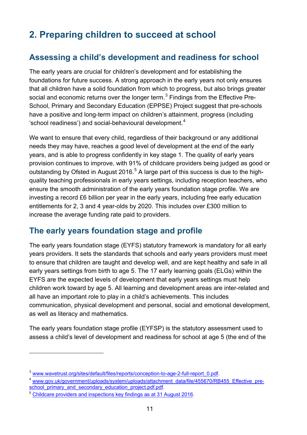# <span id="page-10-0"></span>**2. Preparing children to succeed at school**

## <span id="page-10-1"></span>**Assessing a child's development and readiness for school**

The early years are crucial for children's development and for establishing the foundations for future success. A strong approach in the early years not only ensures that all children have a solid foundation from which to progress, but also brings greater social and economic returns over the longer term. $^3$  $^3$  Findings from the Effective Pre-School, Primary and Secondary Education (EPPSE) Project suggest that pre-schools have a positive and long-term impact on children's attainment, progress (including 'school readiness') and social-behavioural development.<sup>[4](#page-10-3)</sup>

We want to ensure that every child, regardless of their background or any additional needs they may have, reaches a good level of development at the end of the early years, and is able to progress confidently in key stage 1. The quality of early years provision continues to improve, with 91% of childcare providers being judged as good or outstanding by Ofsted in August 2016. $5$  A large part of this success is due to the highquality teaching professionals in early years settings, including reception teachers, who ensure the smooth administration of the early years foundation stage profile. We are investing a record £6 billion per year in the early years, including free early education entitlements for 2, 3 and 4 year-olds by 2020. This includes over £300 million to increase the average funding rate paid to providers.

## <span id="page-10-2"></span>**The early years foundation stage and profile**

The early years foundation stage (EYFS) statutory framework is mandatory for all early years providers. It sets the standards that schools and early years providers must meet to ensure that children are taught and develop well, and are kept healthy and safe in all early years settings from birth to age 5. The 17 early learning goals (ELGs) within the EYFS are the expected levels of development that early years settings must help children work toward by age 5. All learning and development areas are inter-related and all have an important role to play in a child's achievements. This includes communication, physical development and personal, social and emotional development, as well as literacy and mathematics.

The early years foundation stage profile (EYFSP) is the statutory assessment used to assess a child's level of development and readiness for school at age 5 (the end of the

<span id="page-10-3"></span>

<sup>&</sup>lt;sup>3</sup> [www.wavetrust.org/sites/default/files/reports/conception-to-age-2-full-report\\_0.pdf.](http://www.wavetrust.org/sites/default/files/reports/conception-to-age-2-full-report_0.pdf)<br><sup>4</sup> [www.gov.uk/government/uploads/system/uploads/attachment\\_data/file/455670/RB455\\_Effective\\_pre](http://www.gov.uk/government/uploads/system/uploads/attachment_data/file/455670/RB455_Effective_pre-school_primary_and_secondary_education_project.pdf.pdf)[school\\_primary\\_and\\_secondary\\_education\\_project.pdf.pdf.](http://www.gov.uk/government/uploads/system/uploads/attachment_data/file/455670/RB455_Effective_pre-school_primary_and_secondary_education_project.pdf.pdf)

<span id="page-10-5"></span><span id="page-10-4"></span><sup>5</sup> [Childcare providers and inspections key findings as at 31 August 2016.](https://www.gov.uk/government/publications/childcare-providers-and-inspections-as-at-31-august-2016/childcare-providers-and-inspections-key-findings-as-at-31-august-2016)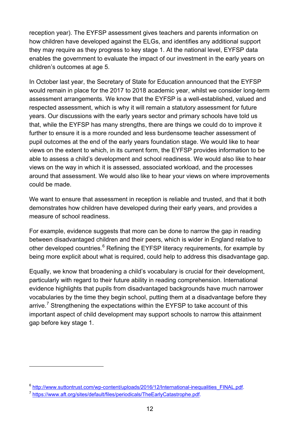reception year). The EYFSP assessment gives teachers and parents information on how children have developed against the ELGs, and identifies any additional support they may require as they progress to key stage 1. At the national level, EYFSP data enables the government to evaluate the impact of our investment in the early years on children's outcomes at age 5.

In October last year, the Secretary of State for Education announced that the EYFSP would remain in place for the 2017 to 2018 academic year, whilst we consider long-term assessment arrangements. We know that the EYFSP is a well-established, valued and respected assessment, which is why it will remain a statutory assessment for future years. Our discussions with the early years sector and primary schools have told us that, while the EYFSP has many strengths, there are things we could do to improve it further to ensure it is a more rounded and less burdensome teacher assessment of pupil outcomes at the end of the early years foundation stage. We would like to hear views on the extent to which, in its current form, the EYFSP provides information to be able to assess a child's development and school readiness. We would also like to hear views on the way in which it is assessed, associated workload, and the processes around that assessment. We would also like to hear your views on where improvements could be made.

We want to ensure that assessment in reception is reliable and trusted, and that it both demonstrates how children have developed during their early years, and provides a measure of school readiness.

For example, evidence suggests that more can be done to narrow the gap in reading between disadvantaged children and their peers, which is wider in England relative to other developed countries.<sup>[6](#page-10-5)</sup> Refining the EYFSP literacy requirements, for example by being more explicit about what is required, could help to address this disadvantage gap.

Equally, we know that broadening a child's vocabulary is crucial for their development, particularly with regard to their future ability in reading comprehension. International evidence highlights that pupils from disadvantaged backgrounds have much narrower vocabularies by the time they begin school, putting them at a disadvantage before they arrive.<sup>[7](#page-11-0)</sup> Strengthening the expectations within the EYFSP to take account of this important aspect of child development may support schools to narrow this attainment gap before key stage 1.

<sup>&</sup>lt;sup>6</sup> [http://www.suttontrust.com/wp-content/uploads/2016/12/International-inequalities\\_FINAL.pdf.](http://www.suttontrust.com/wp-content/uploads/2016/12/International-inequalities_FINAL.pdf)

<span id="page-11-0"></span><sup>7</sup> [https://www.aft.org/sites/default/files/periodicals/TheEarlyCatastrophe.pdf.](https://www.aft.org/sites/default/files/periodicals/TheEarlyCatastrophe.pdf)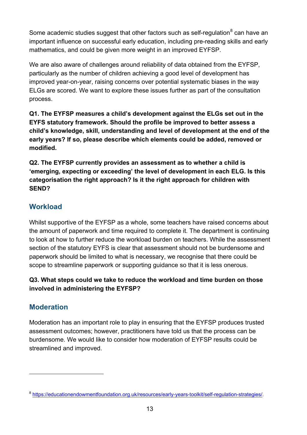Some academic studies suggest that other factors such as self-regulation  $8$  can have an important influence on successful early education, including pre-reading skills and early mathematics, and could be given more weight in an improved EYFSP.

We are also aware of challenges around reliability of data obtained from the EYFSP, particularly as the number of children achieving a good level of development has improved year-on-year, raising concerns over potential systematic biases in the way ELGs are scored. We want to explore these issues further as part of the consultation process.

**Q1. The EYFSP measures a child's development against the ELGs set out in the EYFS statutory framework. Should the profile be improved to better assess a child's knowledge, skill, understanding and level of development at the end of the early years? If so, please describe which elements could be added, removed or modified.**

**Q2. The EYFSP currently provides an assessment as to whether a child is 'emerging, expecting or exceeding' the level of development in each ELG. Is this categorisation the right approach? Is it the right approach for children with SEND?** 

## <span id="page-12-0"></span>**Workload**

Whilst supportive of the EYFSP as a whole, some teachers have raised concerns about the amount of paperwork and time required to complete it. The department is continuing to look at how to further reduce the workload burden on teachers. While the assessment section of the statutory EYFS is clear that assessment should not be burdensome and paperwork should be limited to what is necessary, we recognise that there could be scope to streamline paperwork or supporting guidance so that it is less onerous.

#### **Q3. What steps could we take to reduce the workload and time burden on those involved in administering the EYFSP?**

## <span id="page-12-1"></span>**Moderation**

<span id="page-12-2"></span> $\overline{a}$ 

Moderation has an important role to play in ensuring that the EYFSP produces trusted assessment outcomes; however, practitioners have told us that the process can be burdensome. We would like to consider how moderation of EYFSP results could be streamlined and improved.

<sup>8</sup> [https://educationendowmentfoundation.org.uk/resources/early-years-toolkit/self-regulation-strategies/.](https://educationendowmentfoundation.org.uk/resources/early-years-toolkit/self-regulation-strategies/)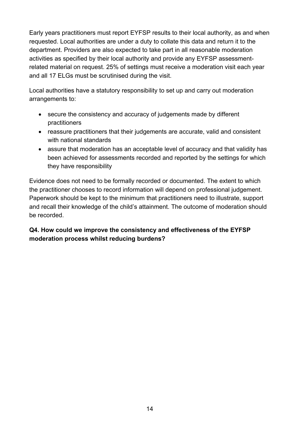Early years practitioners must report EYFSP results to their local authority, as and when requested. Local authorities are under a duty to collate this data and return it to the department. Providers are also expected to take part in all reasonable moderation activities as specified by their local authority and provide any EYFSP assessmentrelated material on request. 25% of settings must receive a moderation visit each year and all 17 ELGs must be scrutinised during the visit.

Local authorities have a statutory responsibility to set up and carry out moderation arrangements to:

- secure the consistency and accuracy of judgements made by different practitioners
- reassure practitioners that their judgements are accurate, valid and consistent with national standards
- assure that moderation has an acceptable level of accuracy and that validity has been achieved for assessments recorded and reported by the settings for which they have responsibility

Evidence does not need to be formally recorded or documented. The extent to which the practitioner chooses to record information will depend on professional judgement. Paperwork should be kept to the minimum that practitioners need to illustrate, support and recall their knowledge of the child's attainment. The outcome of moderation should be recorded.

#### **Q4. How could we improve the consistency and effectiveness of the EYFSP moderation process whilst reducing burdens?**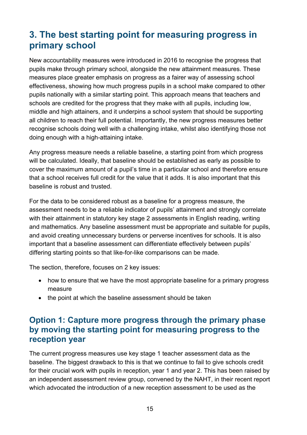# <span id="page-14-0"></span>**3. The best starting point for measuring progress in primary school**

New accountability measures were introduced in 2016 to recognise the progress that pupils make through primary school, alongside the new attainment measures. These measures place greater emphasis on progress as a fairer way of assessing school effectiveness, showing how much progress pupils in a school make compared to other pupils nationally with a similar starting point. This approach means that teachers and schools are credited for the progress that they make with all pupils, including low, middle and high attainers, and it underpins a school system that should be supporting all children to reach their full potential. Importantly, the new progress measures better recognise schools doing well with a challenging intake, whilst also identifying those not doing enough with a high-attaining intake.

Any progress measure needs a reliable baseline, a starting point from which progress will be calculated. Ideally, that baseline should be established as early as possible to cover the maximum amount of a pupil's time in a particular school and therefore ensure that a school receives full credit for the value that it adds. It is also important that this baseline is robust and trusted.

For the data to be considered robust as a baseline for a progress measure, the assessment needs to be a reliable indicator of pupils' attainment and strongly correlate with their attainment in statutory key stage 2 assessments in English reading, writing and mathematics. Any baseline assessment must be appropriate and suitable for pupils, and avoid creating unnecessary burdens or perverse incentives for schools. It is also important that a baseline assessment can differentiate effectively between pupils' differing starting points so that like-for-like comparisons can be made.

The section, therefore, focuses on 2 key issues:

- how to ensure that we have the most appropriate baseline for a primary progress measure
- the point at which the baseline assessment should be taken

## <span id="page-14-1"></span>**Option 1: Capture more progress through the primary phase by moving the starting point for measuring progress to the reception year**

The current progress measures use key stage 1 teacher assessment data as the baseline. The biggest drawback to this is that we continue to fail to give schools credit for their crucial work with pupils in reception, year 1 and year 2. This has been raised by an independent assessment review group, convened by the NAHT, in their recent report which advocated the introduction of a new reception assessment to be used as the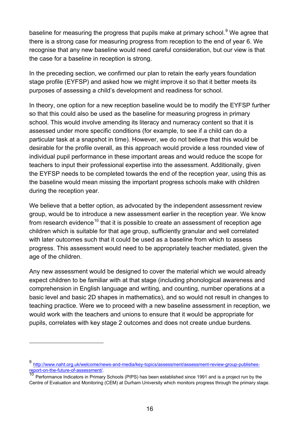baseline for measuring the progress that pupils make at primary school.<sup>[9](#page-12-2)</sup> We agree that there is a strong case for measuring progress from reception to the end of year 6. We recognise that any new baseline would need careful consideration, but our view is that the case for a baseline in reception is strong.

In the preceding section, we confirmed our plan to retain the early years foundation stage profile (EYFSP) and asked how we might improve it so that it better meets its purposes of assessing a child's development and readiness for school.

In theory, one option for a new reception baseline would be to modify the EYFSP further so that this could also be used as the baseline for measuring progress in primary school. This would involve amending its literacy and numeracy content so that it is assessed under more specific conditions (for example, to see if a child can do a particular task at a snapshot in time). However, we do not believe that this would be desirable for the profile overall, as this approach would provide a less rounded view of individual pupil performance in these important areas and would reduce the scope for teachers to input their professional expertise into the assessment. Additionally, given the EYFSP needs to be completed towards the end of the reception year, using this as the baseline would mean missing the important progress schools make with children during the reception year.

We believe that a better option, as advocated by the independent assessment review group, would be to introduce a new assessment earlier in the reception year. We know from research evidence<sup>[10](#page-15-0)</sup> that it is possible to create an assessment of reception age children which is suitable for that age group, sufficiently granular and well correlated with later outcomes such that it could be used as a baseline from which to assess progress. This assessment would need to be appropriately teacher mediated, given the age of the children.

Any new assessment would be designed to cover the material which we would already expect children to be familiar with at that stage (including phonological awareness and comprehension in English language and writing, and counting, number operations at a basic level and basic 2D shapes in mathematics), and so would not result in changes to teaching practice. Were we to proceed with a new baseline assessment in reception, we would work with the teachers and unions to ensure that it would be appropriate for pupils, correlates with key stage 2 outcomes and does not create undue burdens.

<span id="page-15-1"></span><sup>&</sup>lt;sup>9</sup> http://www.naht.org.uk/welcome/news-and-media/key-topics/assessment/assessment-review-group-publishes-<br>report-on-the-future-of-assessment/.

<span id="page-15-0"></span>Performance Indicators in Primary Schools (PIPS) has been established since 1991 and is a project run by the Centre of Evaluation and Monitoring (CEM) at Durham University which monitors progress through the primary stage.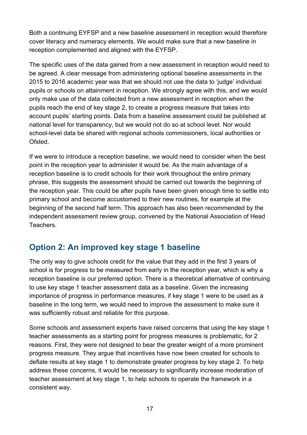Both a continuing EYFSP and a new baseline assessment in reception would therefore cover literacy and numeracy elements. We would make sure that a new baseline in reception complemented and aligned with the EYFSP.

The specific uses of the data gained from a new assessment in reception would need to be agreed. A clear message from administering optional baseline assessments in the 2015 to 2016 academic year was that we should not use the data to 'judge' individual pupils or schools on attainment in reception. We strongly agree with this, and we would only make use of the data collected from a new assessment in reception when the pupils reach the end of key stage 2, to create a progress measure that takes into account pupils' starting points. Data from a baseline assessment could be published at national level for transparency, but we would not do so at school level. Nor would school-level data be shared with regional schools commissioners, local authorities or Ofsted.

If we were to introduce a reception baseline, we would need to consider when the best point in the reception year to administer it would be. As the main advantage of a reception baseline is to credit schools for their work throughout the entire primary phrase, this suggests the assessment should be carried out towards the beginning of the reception year. This could be after pupils have been given enough time to settle into primary school and become accustomed to their new routines, for example at the beginning of the second half term. This approach has also been recommended by the independent assessment review group, convened by the National Association of Head Teachers.

## <span id="page-16-0"></span>**Option 2: An improved key stage 1 baseline**

The only way to give schools credit for the value that they add in the first 3 years of school is for progress to be measured from early in the reception year, which is why a reception baseline is our preferred option. There is a theoretical alternative of continuing to use key stage 1 teacher assessment data as a baseline. Given the increasing importance of progress in performance measures, if key stage 1 were to be used as a baseline in the long term, we would need to improve the assessment to make sure it was sufficiently robust and reliable for this purpose.

Some schools and assessment experts have raised concerns that using the key stage 1 teacher assessments as a starting point for progress measures is problematic, for 2 reasons. First, they were not designed to bear the greater weight of a more prominent progress measure. They argue that incentives have now been created for schools to deflate results at key stage 1 to demonstrate greater progress by key stage 2. To help address these concerns, it would be necessary to significantly increase moderation of teacher assessment at key stage 1, to help schools to operate the framework in a consistent way.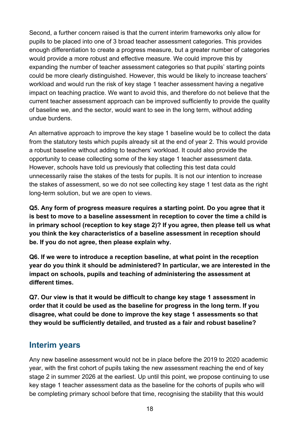Second, a further concern raised is that the current interim frameworks only allow for pupils to be placed into one of 3 broad teacher assessment categories. This provides enough differentiation to create a progress measure, but a greater number of categories would provide a more robust and effective measure. We could improve this by expanding the number of teacher assessment categories so that pupils' starting points could be more clearly distinguished. However, this would be likely to increase teachers' workload and would run the risk of key stage 1 teacher assessment having a negative impact on teaching practice. We want to avoid this, and therefore do not believe that the current teacher assessment approach can be improved sufficiently to provide the quality of baseline we, and the sector, would want to see in the long term, without adding undue burdens.

An alternative approach to improve the key stage 1 baseline would be to collect the data from the statutory tests which pupils already sit at the end of year 2. This would provide a robust baseline without adding to teachers' workload. It could also provide the opportunity to cease collecting some of the key stage 1 teacher assessment data. However, schools have told us previously that collecting this test data could unnecessarily raise the stakes of the tests for pupils. It is not our intention to increase the stakes of assessment, so we do not see collecting key stage 1 test data as the right long-term solution, but we are open to views.

**Q5. Any form of progress measure requires a starting point. Do you agree that it is best to move to a baseline assessment in reception to cover the time a child is in primary school (reception to key stage 2)? If you agree, then please tell us what you think the key characteristics of a baseline assessment in reception should be. If you do not agree, then please explain why.**

**Q6. If we were to introduce a reception baseline, at what point in the reception year do you think it should be administered? In particular, we are interested in the impact on schools, pupils and teaching of administering the assessment at different times.** 

**Q7. Our view is that it would be difficult to change key stage 1 assessment in order that it could be used as the baseline for progress in the long term. If you disagree, what could be done to improve the key stage 1 assessments so that they would be sufficiently detailed, and trusted as a fair and robust baseline?** 

## <span id="page-17-0"></span>**Interim years**

Any new baseline assessment would not be in place before the 2019 to 2020 academic year, with the first cohort of pupils taking the new assessment reaching the end of key stage 2 in summer 2026 at the earliest. Up until this point, we propose continuing to use key stage 1 teacher assessment data as the baseline for the cohorts of pupils who will be completing primary school before that time, recognising the stability that this would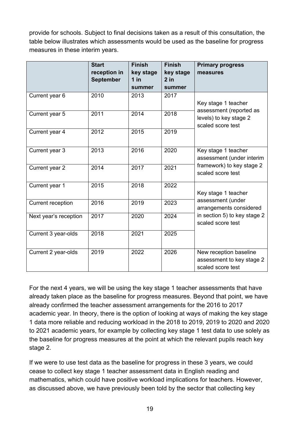provide for schools. Subject to final decisions taken as a result of this consultation, the table below illustrates which assessments would be used as the baseline for progress measures in these interim years.

|                          | <b>Start</b><br>reception in<br><b>September</b> | <b>Finish</b><br>key stage<br>$1$ in<br>summer | <b>Finish</b><br>key stage<br>$2$ in<br>summer | <b>Primary progress</b><br>measures                                      |  |
|--------------------------|--------------------------------------------------|------------------------------------------------|------------------------------------------------|--------------------------------------------------------------------------|--|
| Current year 6           | 2010                                             | 2013                                           | 2017                                           | Key stage 1 teacher                                                      |  |
| Current year 5           | 2011                                             | 2014                                           | 2018                                           | assessment (reported as<br>levels) to key stage 2<br>scaled score test   |  |
| Current year 4           | 2012                                             | 2015                                           | 2019                                           |                                                                          |  |
| Current year 3           | 2013                                             | 2016                                           | 2020                                           | Key stage 1 teacher<br>assessment (under interim                         |  |
| Current year 2           | 2014                                             | 2017                                           | 2021                                           | framework) to key stage 2<br>scaled score test                           |  |
| Current year 1           | 2015                                             | 2018                                           | 2022                                           | Key stage 1 teacher                                                      |  |
| <b>Current reception</b> | 2016                                             | 2019                                           | 2023                                           | assessment (under<br>arrangements considered                             |  |
| Next year's reception    | 2017                                             | 2020                                           | 2024                                           | in section 5) to key stage 2<br>scaled score test                        |  |
| Current 3 year-olds      | 2018                                             | 2021                                           | 2025                                           |                                                                          |  |
| Current 2 year-olds      | 2019                                             | 2022                                           | 2026                                           | New reception baseline<br>assessment to key stage 2<br>scaled score test |  |

For the next 4 years, we will be using the key stage 1 teacher assessments that have already taken place as the baseline for progress measures. Beyond that point, we have already confirmed the teacher assessment arrangements for the 2016 to 2017 academic year. In theory, there is the option of looking at ways of making the key stage 1 data more reliable and reducing workload in the 2018 to 2019, 2019 to 2020 and 2020 to 2021 academic years, for example by collecting key stage 1 test data to use solely as the baseline for progress measures at the point at which the relevant pupils reach key stage 2.

If we were to use test data as the baseline for progress in these 3 years, we could cease to collect key stage 1 teacher assessment data in English reading and mathematics, which could have positive workload implications for teachers. However, as discussed above, we have previously been told by the sector that collecting key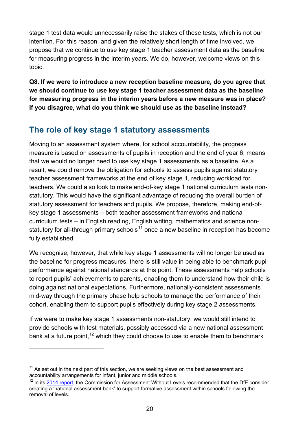stage 1 test data would unnecessarily raise the stakes of these tests, which is not our intention. For this reason, and given the relatively short length of time involved, we propose that we continue to use key stage 1 teacher assessment data as the baseline for measuring progress in the interim years. We do, however, welcome views on this topic.

**Q8. If we were to introduce a new reception baseline measure, do you agree that we should continue to use key stage 1 teacher assessment data as the baseline for measuring progress in the interim years before a new measure was in place? If you disagree, what do you think we should use as the baseline instead?** 

## <span id="page-19-0"></span>**The role of key stage 1 statutory assessments**

Moving to an assessment system where, for school accountability, the progress measure is based on assessments of pupils in reception and the end of year 6, means that we would no longer need to use key stage 1 assessments as a baseline. As a result, we could remove the obligation for schools to assess pupils against statutory teacher assessment frameworks at the end of key stage 1, reducing workload for teachers. We could also look to make end-of-key stage 1 national curriculum tests nonstatutory. This would have the significant advantage of reducing the overall burden of statutory assessment for teachers and pupils. We propose, therefore, making end-ofkey stage 1 assessments – both teacher assessment frameworks and national curriculum tests – in English reading, English writing, mathematics and science non-statutory for all-through primary schools<sup>[11](#page-15-1)</sup> once a new baseline in reception has become fully established.

We recognise, however, that while key stage 1 assessments will no longer be used as the baseline for progress measures, there is still value in being able to benchmark pupil performance against national standards at this point. These assessments help schools to report pupils' achievements to parents, enabling them to understand how their child is doing against national expectations. Furthermore, nationally-consistent assessments mid-way through the primary phase help schools to manage the performance of their cohort, enabling them to support pupils effectively during key stage 2 assessments.

If we were to make key stage 1 assessments non-statutory, we would still intend to provide schools with test materials, possibly accessed via a new national assessment bank at a future point,<sup>[12](#page-19-1)</sup> which they could choose to use to enable them to benchmark

 $11$  As set out in the next part of this section, we are seeking views on the best assessment and accountability arrangements for infant, junior and middle schools.

<span id="page-19-2"></span><span id="page-19-1"></span><sup>&</sup>lt;sup>12</sup> In its [2014 report,](https://www.gov.uk/government/publications/commission-on-assessment-without-levels-final-report) the Commission for Assessment Without Levels recommended that the DfE consider creating a 'national assessment bank' to support formative assessment within schools following the removal of levels.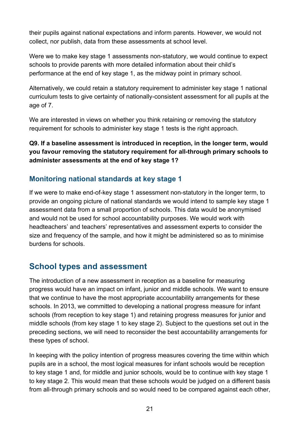their pupils against national expectations and inform parents. However, we would not collect, nor publish, data from these assessments at school level.

Were we to make key stage 1 assessments non-statutory, we would continue to expect schools to provide parents with more detailed information about their child's performance at the end of key stage 1, as the midway point in primary school.

Alternatively, we could retain a statutory requirement to administer key stage 1 national curriculum tests to give certainty of nationally-consistent assessment for all pupils at the age of 7.

We are interested in views on whether you think retaining or removing the statutory requirement for schools to administer key stage 1 tests is the right approach.

#### **Q9. If a baseline assessment is introduced in reception, in the longer term, would you favour removing the statutory requirement for all-through primary schools to administer assessments at the end of key stage 1?**

## <span id="page-20-0"></span>**Monitoring national standards at key stage 1**

If we were to make end-of-key stage 1 assessment non-statutory in the longer term, to provide an ongoing picture of national standards we would intend to sample key stage 1 assessment data from a small proportion of schools. This data would be anonymised and would not be used for school accountability purposes. We would work with headteachers' and teachers' representatives and assessment experts to consider the size and frequency of the sample, and how it might be administered so as to minimise burdens for schools.

## <span id="page-20-1"></span>**School types and assessment**

The introduction of a new assessment in reception as a baseline for measuring progress would have an impact on infant, junior and middle schools. We want to ensure that we continue to have the most appropriate accountability arrangements for these schools. In 2013, we committed to developing a national progress measure for infant schools (from reception to key stage 1) and retaining progress measures for junior and middle schools (from key stage 1 to key stage 2). Subject to the questions set out in the preceding sections, we will need to reconsider the best accountability arrangements for these types of school.

In keeping with the policy intention of progress measures covering the time within which pupils are in a school, the most logical measures for infant schools would be reception to key stage 1 and, for middle and junior schools, would be to continue with key stage 1 to key stage 2. This would mean that these schools would be judged on a different basis from all-through primary schools and so would need to be compared against each other,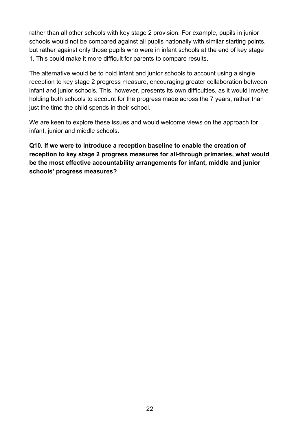rather than all other schools with key stage 2 provision. For example, pupils in junior schools would not be compared against all pupils nationally with similar starting points, but rather against only those pupils who were in infant schools at the end of key stage 1. This could make it more difficult for parents to compare results.

The alternative would be to hold infant and junior schools to account using a single reception to key stage 2 progress measure, encouraging greater collaboration between infant and junior schools. This, however, presents its own difficulties, as it would involve holding both schools to account for the progress made across the 7 years, rather than just the time the child spends in their school.

We are keen to explore these issues and would welcome views on the approach for infant, junior and middle schools.

**Q10. If we were to introduce a reception baseline to enable the creation of reception to key stage 2 progress measures for all-through primaries, what would be the most effective accountability arrangements for infant, middle and junior schools' progress measures?**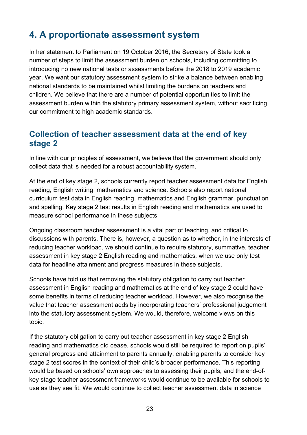# <span id="page-22-0"></span>**4. A proportionate assessment system**

In her statement to Parliament on 19 October 2016, the Secretary of State took a number of steps to limit the assessment burden on schools, including committing to introducing no new national tests or assessments before the 2018 to 2019 academic year. We want our statutory assessment system to strike a balance between enabling national standards to be maintained whilst limiting the burdens on teachers and children. We believe that there are a number of potential opportunities to limit the assessment burden within the statutory primary assessment system, without sacrificing our commitment to high academic standards.

## <span id="page-22-1"></span>**Collection of teacher assessment data at the end of key stage 2**

In line with our principles of assessment, we believe that the government should only collect data that is needed for a robust accountability system.

At the end of key stage 2, schools currently report teacher assessment data for English reading, English writing, mathematics and science. Schools also report national curriculum test data in English reading, mathematics and English grammar, punctuation and spelling. Key stage 2 test results in English reading and mathematics are used to measure school performance in these subjects.

Ongoing classroom teacher assessment is a vital part of teaching, and critical to discussions with parents. There is, however, a question as to whether, in the interests of reducing teacher workload, we should continue to require statutory, summative, teacher assessment in key stage 2 English reading and mathematics, when we use only test data for headline attainment and progress measures in these subjects.

Schools have told us that removing the statutory obligation to carry out teacher assessment in English reading and mathematics at the end of key stage 2 could have some benefits in terms of reducing teacher workload. However, we also recognise the value that teacher assessment adds by incorporating teachers' professional judgement into the statutory assessment system. We would, therefore, welcome views on this topic.

If the statutory obligation to carry out teacher assessment in key stage 2 English reading and mathematics did cease, schools would still be required to report on pupils' general progress and attainment to parents annually, enabling parents to consider key stage 2 test scores in the context of their child's broader performance. This reporting would be based on schools' own approaches to assessing their pupils, and the end-ofkey stage teacher assessment frameworks would continue to be available for schools to use as they see fit. We would continue to collect teacher assessment data in science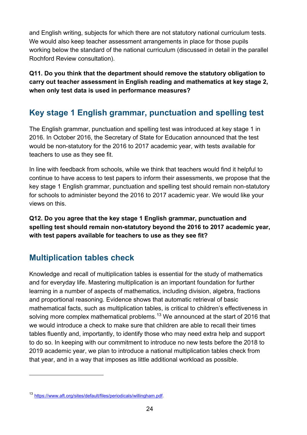and English writing, subjects for which there are not statutory national curriculum tests. We would also keep teacher assessment arrangements in place for those pupils working below the standard of the national curriculum (discussed in detail in the parallel Rochford Review consultation).

**Q11. Do you think that the department should remove the statutory obligation to carry out teacher assessment in English reading and mathematics at key stage 2, when only test data is used in performance measures?**

## <span id="page-23-0"></span>**Key stage 1 English grammar, punctuation and spelling test**

The English grammar, punctuation and spelling test was introduced at key stage 1 in 2016. In October 2016, the Secretary of State for Education announced that the test would be non-statutory for the 2016 to 2017 academic year, with tests available for teachers to use as they see fit.

In line with feedback from schools, while we think that teachers would find it helpful to continue to have access to test papers to inform their assessments, we propose that the key stage 1 English grammar, punctuation and spelling test should remain non-statutory for schools to administer beyond the 2016 to 2017 academic year. We would like your views on this.

**Q12. Do you agree that the key stage 1 English grammar, punctuation and spelling test should remain non-statutory beyond the 2016 to 2017 academic year, with test papers available for teachers to use as they see fit?** 

## <span id="page-23-1"></span>**Multiplication tables check**

Knowledge and recall of multiplication tables is essential for the study of mathematics and for everyday life. Mastering multiplication is an important foundation for further learning in a number of aspects of mathematics, including division, algebra, fractions and proportional reasoning. Evidence shows that automatic retrieval of basic mathematical facts, such as multiplication tables, is critical to children's effectiveness in solving more complex mathematical problems.<sup>[13](#page-19-2)</sup> We announced at the start of 2016 that we would introduce a check to make sure that children are able to recall their times tables fluently and, importantly, to identify those who may need extra help and support to do so. In keeping with our commitment to introduce no new tests before the 2018 to 2019 academic year, we plan to introduce a national multiplication tables check from that year, and in a way that imposes as little additional workload as possible.

<span id="page-23-2"></span><sup>13</sup> [https://www.aft.org/sites/default/files/periodicals/willingham.pdf.](https://www.aft.org/sites/default/files/periodicals/willingham.pdf)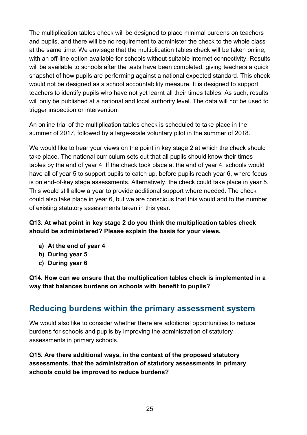The multiplication tables check will be designed to place minimal burdens on teachers and pupils, and there will be no requirement to administer the check to the whole class at the same time. We envisage that the multiplication tables check will be taken online, with an off-line option available for schools without suitable internet connectivity. Results will be available to schools after the tests have been completed, giving teachers a quick snapshot of how pupils are performing against a national expected standard. This check would not be designed as a school accountability measure. It is designed to support teachers to identify pupils who have not yet learnt all their times tables. As such, results will only be published at a national and local authority level. The data will not be used to trigger inspection or intervention.

An online trial of the multiplication tables check is scheduled to take place in the summer of 2017, followed by a large-scale voluntary pilot in the summer of 2018.

We would like to hear your views on the point in key stage 2 at which the check should take place. The national curriculum sets out that all pupils should know their times tables by the end of year 4. If the check took place at the end of year 4, schools would have all of year 5 to support pupils to catch up, before pupils reach year 6, where focus is on end-of-key stage assessments. Alternatively, the check could take place in year 5. This would still allow a year to provide additional support where needed. The check could also take place in year 6, but we are conscious that this would add to the number of existing statutory assessments taken in this year.

**Q13. At what point in key stage 2 do you think the multiplication tables check should be administered? Please explain the basis for your views.**

- **a) At the end of year 4**
- **b) During year 5**
- **c) During year 6**

**Q14. How can we ensure that the multiplication tables check is implemented in a way that balances burdens on schools with benefit to pupils?**

## <span id="page-24-0"></span>**Reducing burdens within the primary assessment system**

We would also like to consider whether there are additional opportunities to reduce burdens for schools and pupils by improving the administration of statutory assessments in primary schools.

**Q15. Are there additional ways, in the context of the proposed statutory assessments, that the administration of statutory assessments in primary schools could be improved to reduce burdens?**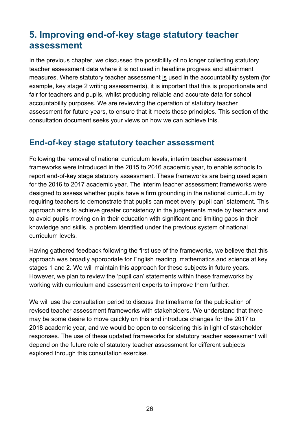# <span id="page-25-0"></span>**5. Improving end-of-key stage statutory teacher assessment**

In the previous chapter, we discussed the possibility of no longer collecting statutory teacher assessment data where it is not used in headline progress and attainment measures. Where statutory teacher assessment is used in the accountability system (for example, key stage 2 writing assessments), it is important that this is proportionate and fair for teachers and pupils, whilst producing reliable and accurate data for school accountability purposes. We are reviewing the operation of statutory teacher assessment for future years, to ensure that it meets these principles. This section of the consultation document seeks your views on how we can achieve this.

## <span id="page-25-1"></span>**End-of-key stage statutory teacher assessment**

Following the removal of national curriculum levels, interim teacher assessment frameworks were introduced in the 2015 to 2016 academic year, to enable schools to report end-of-key stage statutory assessment. These frameworks are being used again for the 2016 to 2017 academic year. The interim teacher assessment frameworks were designed to assess whether pupils have a firm grounding in the national curriculum by requiring teachers to demonstrate that pupils can meet every 'pupil can' statement. This approach aims to achieve greater consistency in the judgements made by teachers and to avoid pupils moving on in their education with significant and limiting gaps in their knowledge and skills, a problem identified under the previous system of national curriculum levels.

Having gathered feedback following the first use of the frameworks, we believe that this approach was broadly appropriate for English reading, mathematics and science at key stages 1 and 2. We will maintain this approach for these subjects in future years. However, we plan to review the 'pupil can' statements within these frameworks by working with curriculum and assessment experts to improve them further.

We will use the consultation period to discuss the timeframe for the publication of revised teacher assessment frameworks with stakeholders. We understand that there may be some desire to move quickly on this and introduce changes for the 2017 to 2018 academic year, and we would be open to considering this in light of stakeholder responses. The use of these updated frameworks for statutory teacher assessment will depend on the future role of statutory teacher assessment for different subjects explored through this consultation exercise.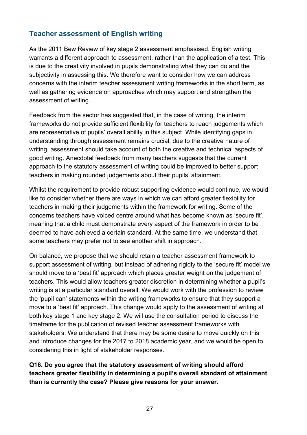#### <span id="page-26-0"></span>**Teacher assessment of English writing**

As the 2011 Bew Review of key stage 2 assessment emphasised, English writing warrants a different approach to assessment, rather than the application of a test. This is due to the creativity involved in pupils demonstrating what they can do and the subjectivity in assessing this. We therefore want to consider how we can address concerns with the interim teacher assessment writing frameworks in the short term, as well as gathering evidence on approaches which may support and strengthen the assessment of writing.

Feedback from the sector has suggested that, in the case of writing, the interim frameworks do not provide sufficient flexibility for teachers to reach judgements which are representative of pupils' overall ability in this subject. While identifying gaps in understanding through assessment remains crucial, due to the creative nature of writing, assessment should take account of both the creative and technical aspects of good writing. Anecdotal feedback from many teachers suggests that the current approach to the statutory assessment of writing could be improved to better support teachers in making rounded judgements about their pupils' attainment.

Whilst the requirement to provide robust supporting evidence would continue, we would like to consider whether there are ways in which we can afford greater flexibility for teachers in making their judgements within the framework for writing. Some of the concerns teachers have voiced centre around what has become known as 'secure fit', meaning that a child must demonstrate every aspect of the framework in order to be deemed to have achieved a certain standard. At the same time, we understand that some teachers may prefer not to see another shift in approach.

On balance, we propose that we should retain a teacher assessment framework to support assessment of writing, but instead of adhering rigidly to the 'secure fit' model we should move to a 'best fit' approach which places greater weight on the judgement of teachers. This would allow teachers greater discretion in determining whether a pupil's writing is at a particular standard overall. We would work with the profession to review the 'pupil can' statements within the writing frameworks to ensure that they support a move to a 'best fit' approach. This change would apply to the assessment of writing at both key stage 1 and key stage 2. We will use the consultation period to discuss the timeframe for the publication of revised teacher assessment frameworks with stakeholders. We understand that there may be some desire to move quickly on this and introduce changes for the 2017 to 2018 academic year, and we would be open to considering this in light of stakeholder responses.

**Q16. Do you agree that the statutory assessment of writing should afford teachers greater flexibility in determining a pupil's overall standard of attainment than is currently the case? Please give reasons for your answer.**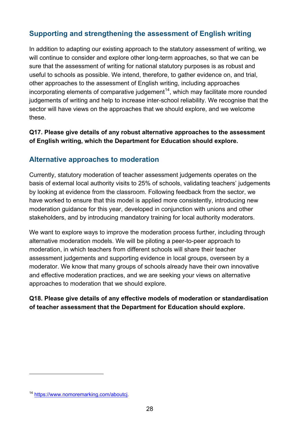## <span id="page-27-0"></span>**Supporting and strengthening the assessment of English writing**

In addition to adapting our existing approach to the statutory assessment of writing, we will continue to consider and explore other long-term approaches, so that we can be sure that the assessment of writing for national statutory purposes is as robust and useful to schools as possible. We intend, therefore, to gather evidence on, and trial, other approaches to the assessment of English writing, including approaches incorporating elements of comparative judgement<sup>14</sup>, which may facilitate more rounded judgements of writing and help to increase inter-school reliability. We recognise that the sector will have views on the approaches that we should explore, and we welcome these.

**Q17. Please give details of any robust alternative approaches to the assessment of English writing, which the Department for Education should explore.** 

#### <span id="page-27-1"></span>**Alternative approaches to moderation**

Currently, statutory moderation of teacher assessment judgements operates on the basis of external local authority visits to 25% of schools, validating teachers' judgements by looking at evidence from the classroom. Following feedback from the sector, we have worked to ensure that this model is applied more consistently, introducing new moderation guidance for this year, developed in conjunction with unions and other stakeholders, and by introducing mandatory training for local authority moderators.

We want to explore ways to improve the moderation process further, including through alternative moderation models. We will be piloting a peer-to-peer approach to moderation, in which teachers from different schools will share their teacher assessment judgements and supporting evidence in local groups, overseen by a moderator. We know that many groups of schools already have their own innovative and effective moderation practices, and we are seeking your views on alternative approaches to moderation that we should explore.

#### **Q18. Please give details of any effective models of moderation or standardisation of teacher assessment that the Department for Education should explore.**

<sup>14</sup> [https://www.nomoremarking.com/aboutcj.](https://www.nomoremarking.com/aboutcj)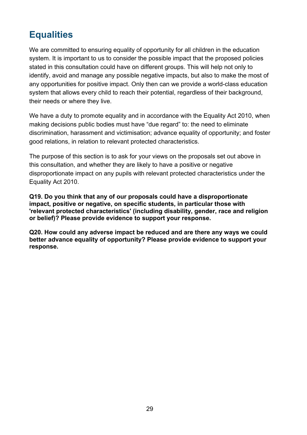# <span id="page-28-0"></span>**Equalities**

We are committed to ensuring equality of opportunity for all children in the education system. It is important to us to consider the possible impact that the proposed policies stated in this consultation could have on different groups. This will help not only to identify, avoid and manage any possible negative impacts, but also to make the most of any opportunities for positive impact. Only then can we provide a world-class education system that allows every child to reach their potential, regardless of their background, their needs or where they live.

We have a duty to promote equality and in accordance with the Equality Act 2010, when making decisions public bodies must have "due regard" to: the need to eliminate discrimination, harassment and victimisation; advance equality of opportunity; and foster good relations, in relation to relevant protected characteristics.

The purpose of this section is to ask for your views on the proposals set out above in this consultation, and whether they are likely to have a positive or negative disproportionate impact on any pupils with relevant protected characteristics under the Equality Act 2010.

**Q19. Do you think that any of our proposals could have a disproportionate impact, positive or negative, on specific students, in particular those with 'relevant protected characteristics' (including disability, gender, race and religion or belief)? Please provide evidence to support your response.**

**Q20. How could any adverse impact be reduced and are there any ways we could better advance equality of opportunity? Please provide evidence to support your response.**